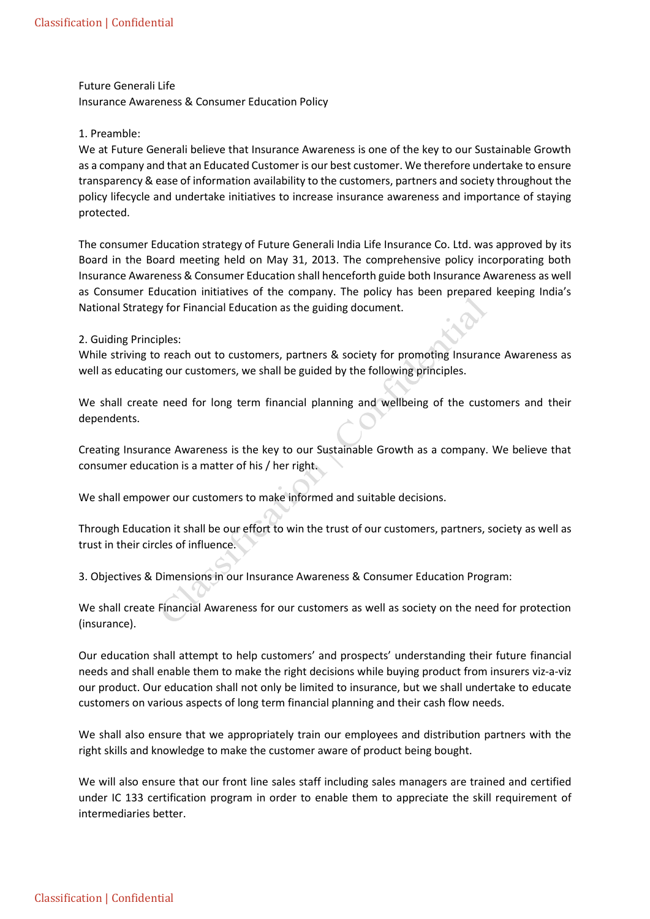Future Generali Life

Insurance Awareness & Consumer Education Policy

## 1. Preamble:

We at Future Generali believe that Insurance Awareness is one of the key to our Sustainable Growth as a company and that an Educated Customer is our best customer. We therefore undertake to ensure transparency & ease of information availability to the customers, partners and society throughout the policy lifecycle and undertake initiatives to increase insurance awareness and importance of staying protected.

The consumer Education strategy of Future Generali India Life Insurance Co. Ltd. was approved by its Board in the Board meeting held on May 31, 2013. The comprehensive policy incorporating both Insurance Awareness & Consumer Education shall henceforth guide both Insurance Awareness as well as Consumer Education initiatives of the company. The policy has been prepared keeping India's National Strategy for Financial Education as the guiding document.

## 2. Guiding Principles:

While striving to reach out to customers, partners & society for promoting Insurance Awareness as well as educating our customers, we shall be guided by the following principles.

We shall create need for long term financial planning and wellbeing of the customers and their dependents.

Creating Insurance Awareness is the key to our Sustainable Growth as a company. We believe that consumer education is a matter of his / her right.

We shall empower our customers to make informed and suitable decisions.

Through Education it shall be our effort to win the trust of our customers, partners, society as well as trust in their circles of influence.

3. Objectives & Dimensions in our Insurance Awareness & Consumer Education Program:

We shall create Financial Awareness for our customers as well as society on the need for protection (insurance).

Our education shall attempt to help customers' and prospects' understanding their future financial needs and shall enable them to make the right decisions while buying product from insurers viz-a-viz our product. Our education shall not only be limited to insurance, but we shall undertake to educate customers on various aspects of long term financial planning and their cash flow needs.

We shall also ensure that we appropriately train our employees and distribution partners with the right skills and knowledge to make the customer aware of product being bought.

We will also ensure that our front line sales staff including sales managers are trained and certified under IC 133 certification program in order to enable them to appreciate the skill requirement of intermediaries better.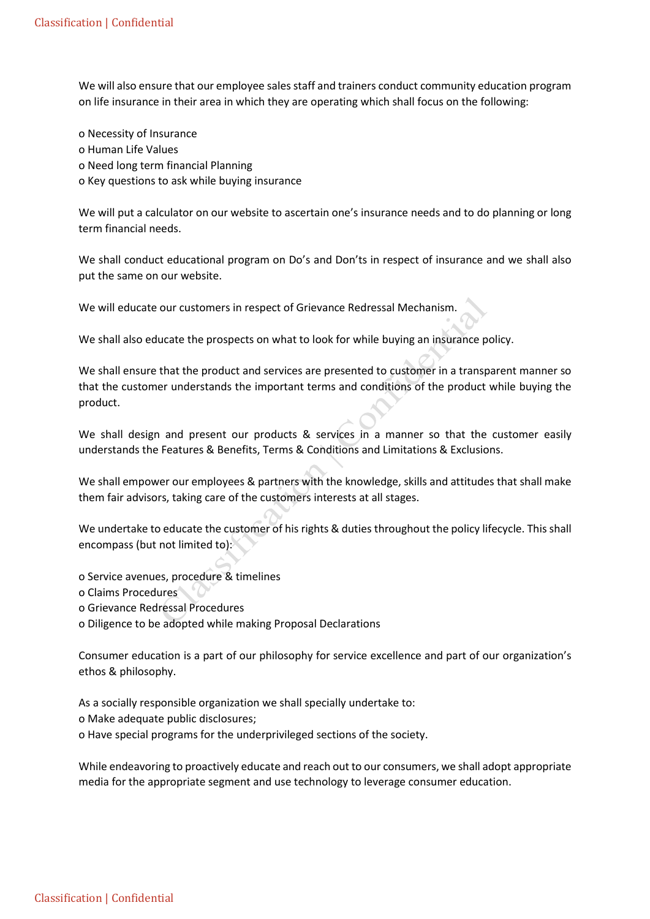We will also ensure that our employee sales staff and trainers conduct community education program on life insurance in their area in which they are operating which shall focus on the following:

o Necessity of Insurance o Human Life Values o Need long term financial Planning o Key questions to ask while buying insurance

We will put a calculator on our website to ascertain one's insurance needs and to do planning or long term financial needs.

We shall conduct educational program on Do's and Don'ts in respect of insurance and we shall also put the same on our website.

We will educate our customers in respect of Grievance Redressal Mechanism.

We shall also educate the prospects on what to look for while buying an insurance policy.

We shall ensure that the product and services are presented to customer in a transparent manner so that the customer understands the important terms and conditions of the product while buying the product.

We shall design and present our products & services in a manner so that the customer easily understands the Features & Benefits, Terms & Conditions and Limitations & Exclusions.

We shall empower our employees & partners with the knowledge, skills and attitudes that shall make them fair advisors, taking care of the customers interests at all stages.

We undertake to educate the customer of his rights & duties throughout the policy lifecycle. This shall encompass (but not limited to):

- o Service avenues, procedure & timelines
- o Claims Procedures
- o Grievance Redressal Procedures
- o Diligence to be adopted while making Proposal Declarations

Consumer education is a part of our philosophy for service excellence and part of our organization's ethos & philosophy.

As a socially responsible organization we shall specially undertake to:

o Make adequate public disclosures;

o Have special programs for the underprivileged sections of the society.

While endeavoring to proactively educate and reach out to our consumers, we shall adopt appropriate media for the appropriate segment and use technology to leverage consumer education.